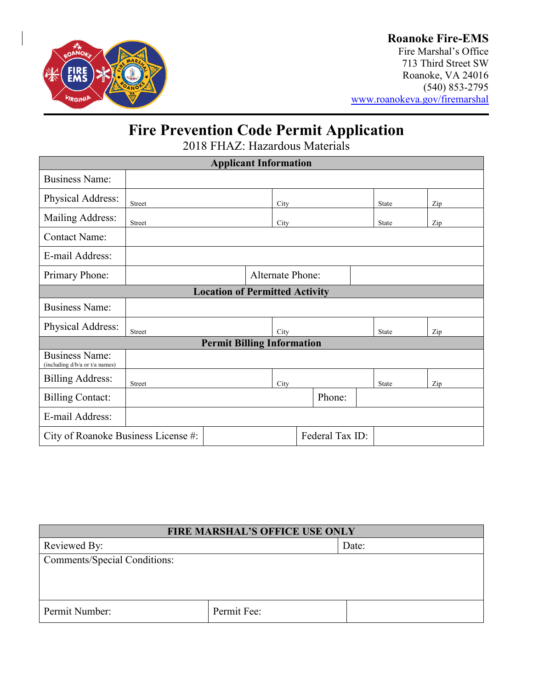

### **Roanoke Fire-EMS**

Fire Marshal's Office 713 Third Street SW Roanoke, VA 24016 (540) 853-2795 [www.roanokeva.gov/firemarshal](http://www.roanokeva.gov/firemarshal)

# **Fire Prevention Code Permit Application**

2018 FHAZ: Hazardous Materials

| <b>Applicant Information</b>                            |               |                                       |  |                         |        |              |     |
|---------------------------------------------------------|---------------|---------------------------------------|--|-------------------------|--------|--------------|-----|
| <b>Business Name:</b>                                   |               |                                       |  |                         |        |              |     |
| Physical Address:                                       | <b>Street</b> |                                       |  | City                    |        | <b>State</b> | Zip |
| Mailing Address:                                        | Street        |                                       |  | City                    |        | <b>State</b> | Zip |
| <b>Contact Name:</b>                                    |               |                                       |  |                         |        |              |     |
| E-mail Address:                                         |               |                                       |  |                         |        |              |     |
| Primary Phone:                                          |               |                                       |  | <b>Alternate Phone:</b> |        |              |     |
|                                                         |               | <b>Location of Permitted Activity</b> |  |                         |        |              |     |
| <b>Business Name:</b>                                   |               |                                       |  |                         |        |              |     |
| Physical Address:                                       | Street        |                                       |  | City                    |        | State        | Zip |
| <b>Permit Billing Information</b>                       |               |                                       |  |                         |        |              |     |
| <b>Business Name:</b><br>(including d/b/a or t/a names) |               |                                       |  |                         |        |              |     |
| <b>Billing Address:</b>                                 | <b>Street</b> |                                       |  | City                    |        | State        | Zip |
| <b>Billing Contact:</b>                                 |               |                                       |  |                         | Phone: |              |     |
| E-mail Address:                                         |               |                                       |  |                         |        |              |     |
| Federal Tax ID:<br>City of Roanoke Business License #:  |               |                                       |  |                         |        |              |     |

| <b>FIRE MARSHAL'S OFFICE USE ONLY</b> |             |  |  |
|---------------------------------------|-------------|--|--|
| Reviewed By:<br>Date:                 |             |  |  |
| <b>Comments/Special Conditions:</b>   |             |  |  |
|                                       |             |  |  |
|                                       |             |  |  |
| Permit Number:                        | Permit Fee: |  |  |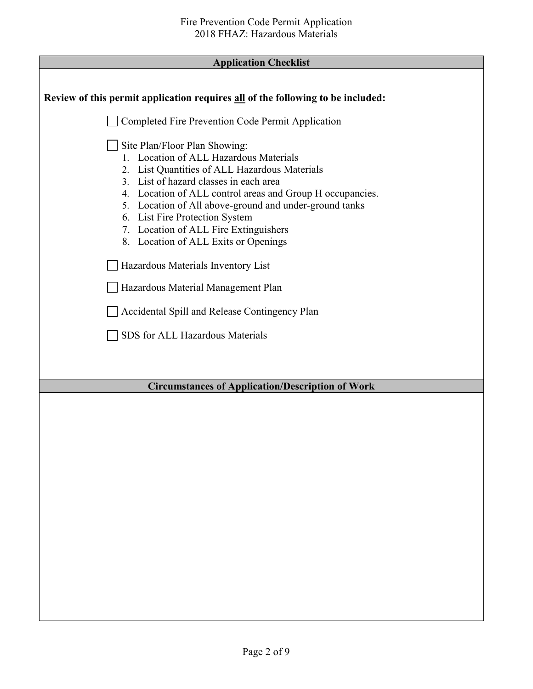| <b>Application Checklist</b> |  |
|------------------------------|--|
|------------------------------|--|

Г

| Review of this permit application requires all of the following to be included:                                                                                                                                                                                                                                                                                                                                                                                                                                                                                              |
|------------------------------------------------------------------------------------------------------------------------------------------------------------------------------------------------------------------------------------------------------------------------------------------------------------------------------------------------------------------------------------------------------------------------------------------------------------------------------------------------------------------------------------------------------------------------------|
| Completed Fire Prevention Code Permit Application                                                                                                                                                                                                                                                                                                                                                                                                                                                                                                                            |
| Site Plan/Floor Plan Showing:<br>1. Location of ALL Hazardous Materials<br>2. List Quantities of ALL Hazardous Materials<br>3. List of hazard classes in each area<br>4. Location of ALL control areas and Group H occupancies.<br>5. Location of All above-ground and under-ground tanks<br>6. List Fire Protection System<br>7. Location of ALL Fire Extinguishers<br>8. Location of ALL Exits or Openings<br>Hazardous Materials Inventory List<br>Hazardous Material Management Plan<br>Accidental Spill and Release Contingency Plan<br>SDS for ALL Hazardous Materials |
| <b>Circumstances of Application/Description of Work</b>                                                                                                                                                                                                                                                                                                                                                                                                                                                                                                                      |
|                                                                                                                                                                                                                                                                                                                                                                                                                                                                                                                                                                              |
|                                                                                                                                                                                                                                                                                                                                                                                                                                                                                                                                                                              |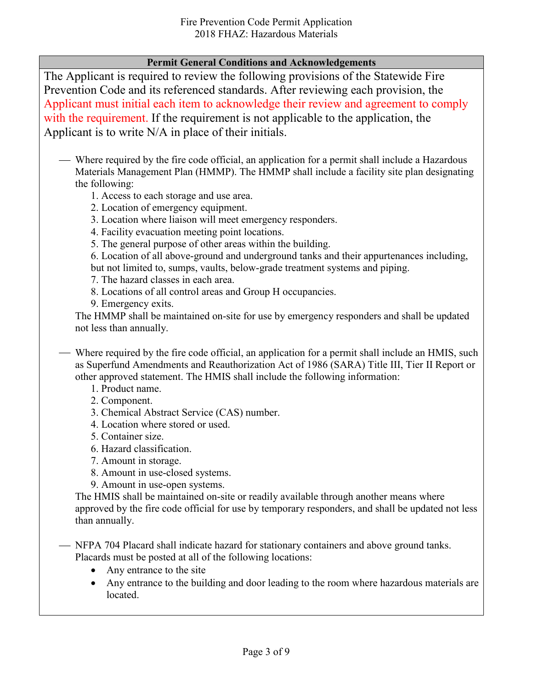#### **Permit General Conditions and Acknowledgements**

The Applicant is required to review the following provisions of the Statewide Fire Prevention Code and its referenced standards. After reviewing each provision, the Applicant must initial each item to acknowledge their review and agreement to comply with the requirement. If the requirement is not applicable to the application, the Applicant is to write N/A in place of their initials.

- Where required by the fire code official, an application for a permit shall include a Hazardous Materials Management Plan (HMMP). The HMMP shall include a facility site plan designating the following:
	- 1. Access to each storage and use area.
	- 2. Location of emergency equipment.
	- 3. Location where liaison will meet emergency responders.
	- 4. Facility evacuation meeting point locations.
	- 5. The general purpose of other areas within the building.

6. Location of all above-ground and underground tanks and their appurtenances including, but not limited to, sumps, vaults, below-grade treatment systems and piping.

- 7. The hazard classes in each area.
- 8. Locations of all control areas and Group H occupancies.
- 9. Emergency exits.

The HMMP shall be maintained on-site for use by emergency responders and shall be updated not less than annually.

- Where required by the fire code official, an application for a permit shall include an HMIS, such as Superfund Amendments and Reauthorization Act of 1986 (SARA) Title III, Tier II Report or other approved statement. The HMIS shall include the following information:
	- 1. Product name.
	- 2. Component.
	- 3. Chemical Abstract Service (CAS) number.
	- 4. Location where stored or used.
	- 5. Container size.
	- 6. Hazard classification.
	- 7. Amount in storage.
	- 8. Amount in use-closed systems.
	- 9. Amount in use-open systems.

The HMIS shall be maintained on-site or readily available through another means where approved by the fire code official for use by temporary responders, and shall be updated not less than annually.

 NFPA 704 Placard shall indicate hazard for stationary containers and above ground tanks. Placards must be posted at all of the following locations:

- Any entrance to the site
- Any entrance to the building and door leading to the room where hazardous materials are located.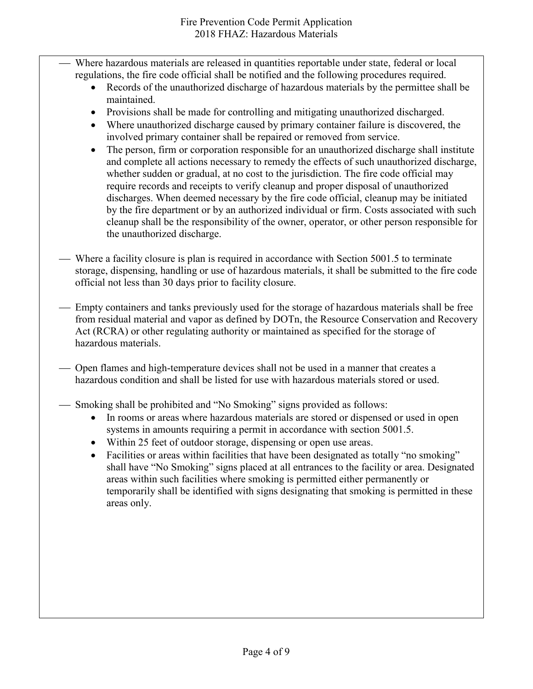- Where hazardous materials are released in quantities reportable under state, federal or local regulations, the fire code official shall be notified and the following procedures required.
	- Records of the unauthorized discharge of hazardous materials by the permittee shall be maintained.
	- Provisions shall be made for controlling and mitigating unauthorized discharged.
	- Where unauthorized discharge caused by primary container failure is discovered, the involved primary container shall be repaired or removed from service.
	- The person, firm or corporation responsible for an unauthorized discharge shall institute and complete all actions necessary to remedy the effects of such unauthorized discharge, whether sudden or gradual, at no cost to the jurisdiction. The fire code official may require records and receipts to verify cleanup and proper disposal of unauthorized discharges. When deemed necessary by the fire code official, cleanup may be initiated by the fire department or by an authorized individual or firm. Costs associated with such cleanup shall be the responsibility of the owner, operator, or other person responsible for the unauthorized discharge.
- Where a facility closure is plan is required in accordance with Section 5001.5 to terminate storage, dispensing, handling or use of hazardous materials, it shall be submitted to the fire code official not less than 30 days prior to facility closure.
- Empty containers and tanks previously used for the storage of hazardous materials shall be free from residual material and vapor as defined by DOTn, the Resource Conservation and Recovery Act (RCRA) or other regulating authority or maintained as specified for the storage of hazardous materials.
- Open flames and high-temperature devices shall not be used in a manner that creates a hazardous condition and shall be listed for use with hazardous materials stored or used.
- Smoking shall be prohibited and "No Smoking" signs provided as follows:
	- In rooms or areas where hazardous materials are stored or dispensed or used in open systems in amounts requiring a permit in accordance with section 5001.5.
	- Within 25 feet of outdoor storage, dispensing or open use areas.
	- Facilities or areas within facilities that have been designated as totally "no smoking" shall have "No Smoking" signs placed at all entrances to the facility or area. Designated areas within such facilities where smoking is permitted either permanently or temporarily shall be identified with signs designating that smoking is permitted in these areas only.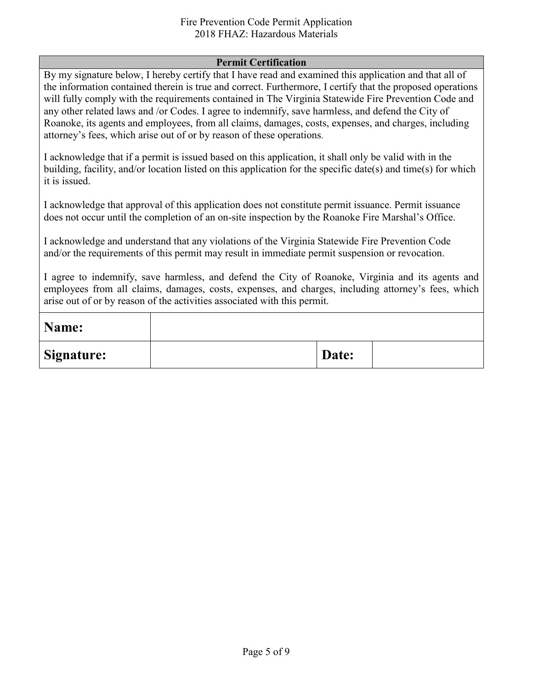#### Fire Prevention Code Permit Application 2018 FHAZ: Hazardous Materials

#### **Permit Certification**

By my signature below, I hereby certify that I have read and examined this application and that all of the information contained therein is true and correct. Furthermore, I certify that the proposed operations will fully comply with the requirements contained in The Virginia Statewide Fire Prevention Code and any other related laws and /or Codes. I agree to indemnify, save harmless, and defend the City of Roanoke, its agents and employees, from all claims, damages, costs, expenses, and charges, including attorney's fees, which arise out of or by reason of these operations.

I acknowledge that if a permit is issued based on this application, it shall only be valid with in the building, facility, and/or location listed on this application for the specific date(s) and time(s) for which it is issued.

I acknowledge that approval of this application does not constitute permit issuance. Permit issuance does not occur until the completion of an on-site inspection by the Roanoke Fire Marshal's Office.

I acknowledge and understand that any violations of the Virginia Statewide Fire Prevention Code and/or the requirements of this permit may result in immediate permit suspension or revocation.

I agree to indemnify, save harmless, and defend the City of Roanoke, Virginia and its agents and employees from all claims, damages, costs, expenses, and charges, including attorney's fees, which arise out of or by reason of the activities associated with this permit.

| Name:             |       |  |
|-------------------|-------|--|
| <b>Signature:</b> | Date: |  |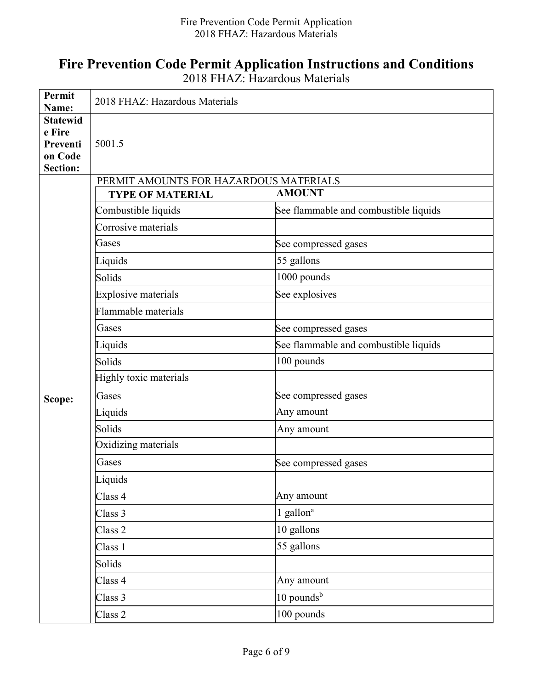## **Fire Prevention Code Permit Application Instructions and Conditions**

2018 FHAZ: Hazardous Materials

| Permit<br>Name:                                                     | 2018 FHAZ: Hazardous Materials         |                                       |  |  |  |
|---------------------------------------------------------------------|----------------------------------------|---------------------------------------|--|--|--|
| <b>Statewid</b><br>e Fire<br>Preventi<br>on Code<br><b>Section:</b> | 5001.5                                 |                                       |  |  |  |
|                                                                     | PERMIT AMOUNTS FOR HAZARDOUS MATERIALS |                                       |  |  |  |
|                                                                     | <b>TYPE OF MATERIAL</b>                | <b>AMOUNT</b>                         |  |  |  |
|                                                                     | Combustible liquids                    | See flammable and combustible liquids |  |  |  |
|                                                                     | Corrosive materials                    |                                       |  |  |  |
|                                                                     | Gases                                  | See compressed gases                  |  |  |  |
|                                                                     | Liquids                                | 55 gallons                            |  |  |  |
|                                                                     | Solids                                 | 1000 pounds                           |  |  |  |
|                                                                     | <b>Explosive materials</b>             | See explosives                        |  |  |  |
|                                                                     | Flammable materials                    |                                       |  |  |  |
|                                                                     | Gases                                  | See compressed gases                  |  |  |  |
|                                                                     | Liquids                                | See flammable and combustible liquids |  |  |  |
|                                                                     | Solids                                 | 100 pounds                            |  |  |  |
| Scope:                                                              | Highly toxic materials                 |                                       |  |  |  |
|                                                                     | Gases                                  | See compressed gases                  |  |  |  |
|                                                                     | Liquids                                | Any amount                            |  |  |  |
|                                                                     | Solids                                 | Any amount                            |  |  |  |
|                                                                     | Oxidizing materials                    |                                       |  |  |  |
|                                                                     | Gases                                  | See compressed gases                  |  |  |  |
|                                                                     | Liquids                                |                                       |  |  |  |
|                                                                     | Class 4                                | Any amount                            |  |  |  |
|                                                                     | Class 3                                | 1 gallon <sup>a</sup>                 |  |  |  |
|                                                                     | Class 2                                | 10 gallons                            |  |  |  |
|                                                                     | Class 1                                | 55 gallons                            |  |  |  |
|                                                                     | Solids                                 |                                       |  |  |  |
|                                                                     | Class 4                                | Any amount                            |  |  |  |
|                                                                     | Class 3                                | $10$ pounds <sup>b</sup>              |  |  |  |
|                                                                     | Class 2                                | 100 pounds                            |  |  |  |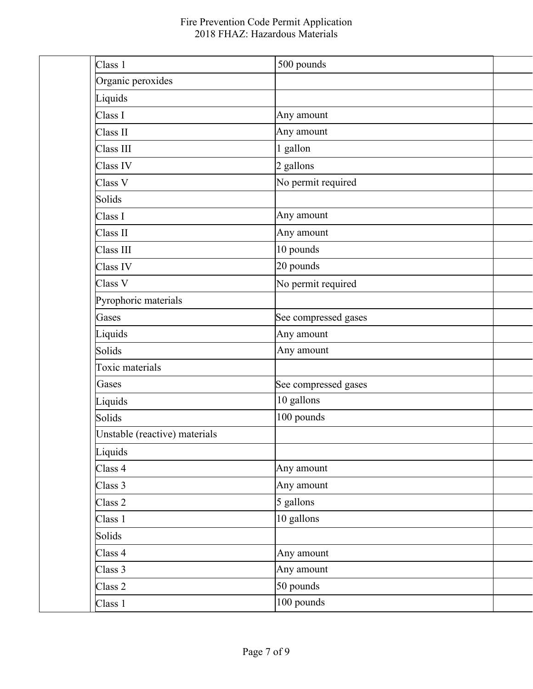| Class 1                       | 500 pounds           |
|-------------------------------|----------------------|
| Organic peroxides             |                      |
| Liquids                       |                      |
| Class I                       | Any amount           |
| Class II                      | Any amount           |
| Class III                     | 1 gallon             |
| Class IV                      | 2 gallons            |
| Class V                       | No permit required   |
| Solids                        |                      |
| Class I                       | Any amount           |
| Class II                      | Any amount           |
| Class III                     | 10 pounds            |
| Class IV                      | 20 pounds            |
| Class V                       | No permit required   |
| Pyrophoric materials          |                      |
| Gases                         | See compressed gases |
| Liquids                       | Any amount           |
| Solids                        | Any amount           |
| Toxic materials               |                      |
| Gases                         | See compressed gases |
| Liquids                       | 10 gallons           |
| Solids                        | 100 pounds           |
| Unstable (reactive) materials |                      |
| Liquids                       |                      |
| Class 4                       | Any amount           |
| Class 3                       | Any amount           |
| Class 2                       | 5 gallons            |
| Class 1                       | 10 gallons           |
| Solids                        |                      |
| Class 4                       | Any amount           |
| Class 3                       | Any amount           |
| Class 2                       | 50 pounds            |
| Class 1                       | 100 pounds           |
|                               |                      |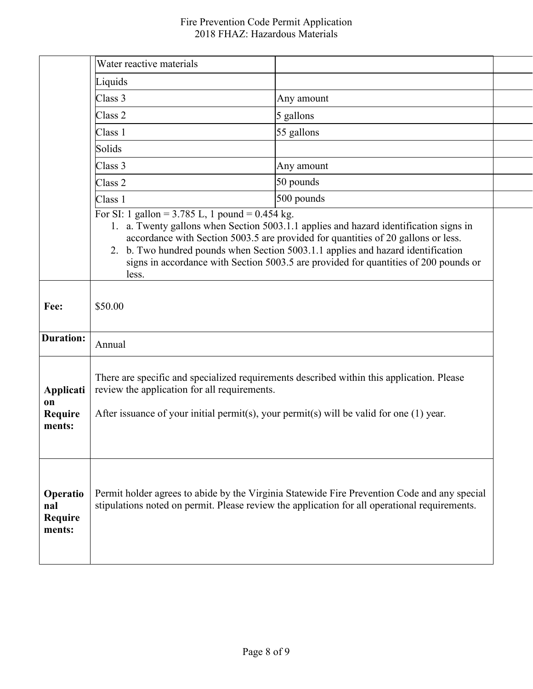|                                             | Water reactive materials                                                                                                                                                                                                                |                                                                                                                                                                                                                                                                                                                                                        |  |
|---------------------------------------------|-----------------------------------------------------------------------------------------------------------------------------------------------------------------------------------------------------------------------------------------|--------------------------------------------------------------------------------------------------------------------------------------------------------------------------------------------------------------------------------------------------------------------------------------------------------------------------------------------------------|--|
|                                             | Liquids                                                                                                                                                                                                                                 |                                                                                                                                                                                                                                                                                                                                                        |  |
|                                             | Class 3                                                                                                                                                                                                                                 | Any amount                                                                                                                                                                                                                                                                                                                                             |  |
|                                             | Class <sub>2</sub>                                                                                                                                                                                                                      | 5 gallons                                                                                                                                                                                                                                                                                                                                              |  |
|                                             | Class 1                                                                                                                                                                                                                                 | 55 gallons                                                                                                                                                                                                                                                                                                                                             |  |
|                                             | Solids                                                                                                                                                                                                                                  |                                                                                                                                                                                                                                                                                                                                                        |  |
|                                             | Class 3                                                                                                                                                                                                                                 | Any amount                                                                                                                                                                                                                                                                                                                                             |  |
|                                             | Class 2                                                                                                                                                                                                                                 | 50 pounds                                                                                                                                                                                                                                                                                                                                              |  |
|                                             | Class 1                                                                                                                                                                                                                                 | 500 pounds                                                                                                                                                                                                                                                                                                                                             |  |
|                                             | For SI: 1 gallon = 3.785 L, 1 pound = $0.454$ kg.<br>less.                                                                                                                                                                              | 1. a. Twenty gallons when Section 5003.1.1 applies and hazard identification signs in<br>accordance with Section 5003.5 are provided for quantities of 20 gallons or less.<br>2. b. Two hundred pounds when Section 5003.1.1 applies and hazard identification<br>signs in accordance with Section 5003.5 are provided for quantities of 200 pounds or |  |
| Fee:                                        | \$50.00                                                                                                                                                                                                                                 |                                                                                                                                                                                                                                                                                                                                                        |  |
| <b>Duration:</b>                            | Annual                                                                                                                                                                                                                                  |                                                                                                                                                                                                                                                                                                                                                        |  |
| Applicati<br>on<br><b>Require</b><br>ments: | There are specific and specialized requirements described within this application. Please<br>review the application for all requirements.<br>After issuance of your initial permit(s), your permit(s) will be valid for one $(1)$ year. |                                                                                                                                                                                                                                                                                                                                                        |  |
| Operatio<br>nal<br>Require<br>ments:        |                                                                                                                                                                                                                                         | Permit holder agrees to abide by the Virginia Statewide Fire Prevention Code and any special<br>stipulations noted on permit. Please review the application for all operational requirements.                                                                                                                                                          |  |